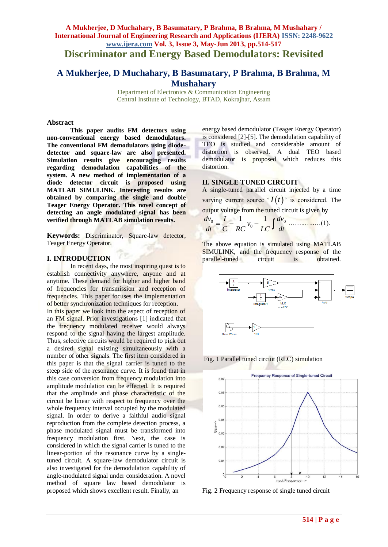# **A Mukherjee, D Muchahary, B Basumatary, P Brahma, B Brahma, M Mushahary / International Journal of Engineering Research and Applications (IJERA) ISSN: 2248-9622 www.ijera.com Vol. 3, Issue 3, May-Jun 2013, pp.514-517 Discriminator and Energy Based Demodulators: Revisited**

# **A Mukherjee, D Muchahary, B Basumatary, P Brahma, B Brahma, M Mushahary**

Department of Electronics & Communication Engineering Central Institute of Technology, BTAD, Kokrajhar, Assam

#### **Abstract**

**This paper audits FM detectors using non-conventional energy based demodulators. The conventional FM demodulators using diodedetector and square-law are also presented. Simulation results give encouraging results regarding demodulation capabilities of the system. A new method of implementation of a diode detector circuit is proposed using MATLAB SIMULINK. Interesting results are obtained by comparing the single and double Teager Energy Operator. This novel concept of detecting an angle modulated signal has been verified through MATLAB simulation results.**

**Keywords:** Discriminator, Square-law detector, Teager Energy Operator.

# **I. INTRODUCTION**

In recent days, the most inspiring quest is to establish connectivity anywhere, anyone and at anytime. These demand for higher and higher band of frequencies for transmission and reception of frequencies. This paper focuses the implementation of better synchronization techniques for reception.

In this paper we look into the aspect of reception of an FM signal. Prior investigations [1] indicated that the frequency modulated receiver would always respond to the signal having the largest amplitude. Thus, selective circuits would be required to pick out a desired signal existing simultaneously with a number of other signals. The first item considered in this paper is that the signal carrier is tuned to the steep side of the resonance curve. It is found that in this case conversion from frequency modulation into amplitude modulation can be effected. It is required that the amplitude and phase characteristic of the circuit be linear with respect to frequency over the whole frequency interval occupied by the modulated signal. In order to derive a faithful audio signal reproduction from the complete detection process, a phase modulated signal must be transformed into frequency modulation first. Next, the case is considered in which the signal carrier is tuned to the linear-portion of the resonance curve by a singletuned circuit. A square-law demodulator circuit is also investigated for the demodulation capability of angle-modulated signal under consideration. A novel method of square law based demodulator is proposed which shows excellent result. Finally, an

energy based demodulator (Teager Energy Operator) is considered [2]-[5]. The demodulation capability of TEO is studied and considerable amount of distortion is observed. A dual TEO based demodulator is proposed which reduces this distortion.

### **II. SINGLE TUNED CIRCUIT**

A single-tuned parallel circuit injected by a time varying current source  $\mathcal{I}(t)$  is considered. The output voltage from the tuned circuit is given by<br> $dv = \frac{1}{2} \int_{c} dv$ 

output voltage from the tuned circuit is given by  
\n
$$
\frac{dv_0}{dt} = \frac{I}{C} - \frac{1}{RC}v_0 - \frac{1}{LC}\int \frac{dv_0}{dt}
$$
............(1).

The above equation is simulated using MATLAB SIMULINK, and the frequency response of the parallel-tuned circuit is obtained.



Fig. 1 Parallel tuned circuit (RLC) simulation



Fig. 2 Frequency response of single tuned circuit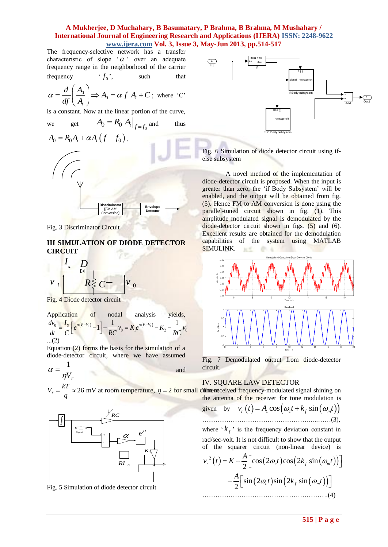# **A Mukherjee, D Muchahary, B Basumatary, P Brahma, B Brahma, M Mushahary / International Journal of Engineering Research and Applications (IJERA) ISSN: 2248-9622**

**www.ijera.com Vol. 3, Issue 3, May-Jun 2013, pp.514-517**<br>
ve network has a transfer<br>  $\alpha$   $\alpha$  over an adequate The frequency-selective network has a transfer characteristic of slope  $\alpha$  over an adequate frequency range in the neighborhood of the carrier frequency  $f^{\vphantom{\dagger}}_{0}$ such that

$$
\alpha = \frac{d}{df} \left( \frac{A_0}{A_i} \right) \Rightarrow A_0 = \alpha f A_i + C \text{; where 'C'}
$$

is a constant. Now at the linear portion of the curve,

we get 
$$
A_0 = R_0 A_i|_{f=f_0}
$$
 and thus



Fig. 3 Discriminator Circuit

# **III SIMULATION OF DIODE DETECTOR CIRCUIT**

$$
v_i \frac{1}{\left|\sum_{k=1}^{N} C_{\frac{1}{\left|\sum_{k=1}^{N} C_{\frac{1}{\left|\sum_{k=1}^{N} C_{\frac{1}{\left|\sum_{k=1}^{N} C_{\frac{1}{\left|\sum_{k=1}^{N} C_{\frac{1}{\left|\sum_{k=1}^{N} C_{\frac{1}{\left|\sum_{k=1}^{N} C_{\frac{1}{\left|\sum_{k=1}^{N} C_{\frac{1}{\left|\sum_{k=1}^{N} C_{\frac{1}{\left|\sum_{k=1}^{N} C_{\frac{1}{\left|\sum_{k=1}^{N} C_{\frac{1}{\left|\sum_{k=1}^{N} C_{\frac{1}{\left|\sum_{k=1}^{N} C_{\frac{1}{\left|\sum_{k=1}^{N} C_{\frac{1}{\left|\sum_{k=1}^{N} C_{\frac{1}{\left|\sum_{k=1}^{N} C_{\frac{1}{\left|\sum_{k=1}^{N} C_{\frac{1}{\left|\sum_{k=1}^{N} C_{\frac{1}{\left|\sum_{k=1}^{N} C_{\frac{1}{\left|\sum_{k=1}^{N} C_{\frac{1}{\left|\sum_{k=1}^{N} C_{\frac{1}{\left|\sum_{k=1}^{N} C_{\frac{1}{\left|\sum_{k=1}^{N} C_{\frac{1}{\left|\sum_{k=1}^{N} C_{\frac{1}{\left|\sum_{k=1}^{N} C_{\frac{1}{\left|\sum_{k=1}^{N} C_{\frac{1}{\left|\sum_{k=1}^{N} C_{\frac{1}{\left|\sum_{k=1}^{N} C_{\frac{1}{\left|\sum_{k=1}^{N} C_{\frac{1}{\left|\sum_{k=1}^{N} C_{\frac{1}{\left|\sum_{k=1}^{N} C_{\frac{1}{\left|\sum_{k=1}^{N} C_{\frac{1}{\left|\sum_{k=1}^{N} C_{\frac{1}{\left|\sum_{k=1}^{N} C_{\frac{1}{\left|\sum_{k=1}^{N} C_{\frac{1}{\left|\sum_{k=1}^{N} C_{\frac{1}{\left|\sum_{k=1}^{N} C_{\frac{1}{\left|\sum_{k=1}^{N} C_{\frac{1}{\left|\sum_{k=1}^{N} C_{\frac{1}{\left|\sum_{k=1}^{N
$$

Fig. 4 Diode detector circuit

Application of nodal analysis yields,  
\n
$$
\frac{dv_0}{dt} = \frac{I_s}{C} \left[ e^{\alpha(V_t - V_0)} - 1 \right] - \frac{1}{RC} v_0 = K_1 e^{\alpha(V_t - V_0)} - K_2 - \frac{1}{RC} v_0
$$
\n...(2)

Equation (2) forms the basis for the simulation of a diode-detector circuit, where we have assumed

$$
\alpha = \frac{1}{\eta V_T}
$$

$$
26 \text{ mV at room temperature. } n =
$$



Fig. 5 Simulation of diode detector circuit



Fig. 6 Simulation of diode detector circuit using ifelse subsystem

A novel method of the implementation of diode-detector circuit is proposed. When the input is greater than zero, the "if Body Subsystem" will be enabled, and the output will be obtained from fig. (5). Hence FM to AM conversion is done using the parallel-tuned circuit shown in fig. (1). This amplitude modulated signal is demodulated by the diode-detector circuit shown in figs. (5) and (6). Excellent results are obtained for the demodulation capabilities of the system using MATLAB SIMULINK. 五丈 中国



Fig. 7 Demodulated output from diode-detector circuit.

#### IV. SQUARE LAW DETECTOR

$$
\alpha = \frac{kT}{\eta V_T}
$$
  
\n
$$
V_r = \frac{kT}{q} \approx 26 \text{ mV at room temperature, } \eta = 2 \text{ for small Cinterac given by  $v_r(t) = A_1 \cos(\omega_c t + k_f \sin(\omega_m t))$
$$

and

given by 
$$
v_r(t) = A_1 \cos(\omega_c t + k_f \sin(\omega_m t))
$$
  
.................(3),

where  $k_f$  is the frequency deviation constant in rad/sec-volt. It is not difficult to show that the output

of the square circuit (non-linear device) is  
\n
$$
v_r^2(t) = K + \frac{A}{2} \Big[ cos(2\omega_c t) cos(2k_f sin(\omega_m t)) \Big] - \frac{A}{2} \Big[ sin(2\omega_c t) sin(2k_f sin(\omega_m t)) \Big]
$$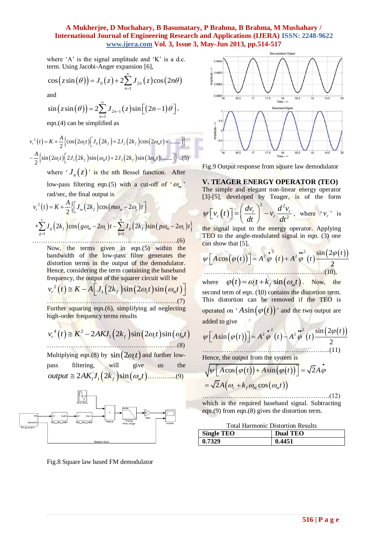## **A Mukherjee, D Muchahary, B Basumatary, P Brahma, B Brahma, M Mushahary / International Journal of Engineering Research and Applications (IJERA) ISSN: 2248-9622 www.ijera.com Vol. 3, Issue 3, May-Jun 2013, pp.514-517**

where  $A'$  is the signal amplitude and  $K'$  is a d.c.

term. Using Jacobi-Anger expansion [6],  
\n
$$
\cos(z \sin(\theta)) = J_0(z) + 2 \sum_{n=1}^{\infty} J_{2n}(z) \cos(2n\theta)
$$

and

and  
\n
$$
\sin(z \sin(\theta)) = 2 \sum_{n=1}^{\infty} J_{2n-1}(z) \sin[(2n-1)\theta],
$$
  
\neqn.(4) can be simplified as

eqn.(4) can be simplified as  
\n
$$
v_r^2(t) = K + \frac{A}{2} \Big\{ \cos(2\omega_c t) \Big[ J_0(2k_f) + 2J_2(2k_f) \cos(2\omega_m t) + \dots \Big] \Big\}
$$
\n
$$
- \frac{A}{2} \Big\{ \sin(2\omega_c t) \Big[ 2J_1(2k_f) \sin(\omega_m t) + 2J_3(2k_f) \sin(3\omega_m t) \dots \Big] \Big\} \dots (5)
$$

where  $J_n(z)$  is the nth Bessel function. After low-pass filtering eqn.(5) with a cut-off of  $^{\circ} \omega_m$ <sup>,</sup>

and/sec, the final output is  
\n
$$
v_r^2(t) = K + \frac{A}{2} \Biggl\{ \Biggl[ J_m(2k_f) \cos(m\omega_m - 2\omega_c) t \Biggr]
$$
\n+
$$
\sum_{g=1}^r J_g(2k_f) \cos(g\omega_m - 2\omega_c) t - \sum_{p=1}^q J_p(2k_f) \sin(p\omega_m - 2\omega_c) t \Biggr\}
$$
\n+
$$
+ \sum_{g=1}^r J_g(2k_f) \cos(g\omega_m - 2\omega_c) t - \sum_{p=1}^q J_p(2k_f) \sin(p\omega_m - 2\omega_c) t \Biggr\}
$$

Now, the terms given in eqn.(5) within the bandwidth of the low-pass filter generates the distortion terms in the output of the demodulator. Hence, considering the term containing the baseband

Therefore, considering the ten containing the baseband frequency, the output of the square circuit will be

\n
$$
v_r^2(t) \cong K - A \left[ J_1(2k_f) \sin(2\omega_c t) \sin(\omega_m t) \right]
$$
\nFurther squaring eqn.(6), simplifying ad neglecting

Further squaring eqn.(6), simplifying ad neglecting high-order frequency terms results

 4 2 *r f c m* 2 2 sin 2 sin <sup>1</sup> *v t K AKJ k t t* ……………………………………………………(8)

Multiplying eqn.(8) by  $\sin\left(2\omega_c t\right)$  and further lowpass filtering, will give us the *output AK J k t* 2 2 sin 1 1 *f m* .………....(9)



Fig.8 Square law based FM demodulator



Fig.9 Output response from square law demodulator

#### **V. TEAGER ENERGY OPERATOR (TEO)**

The simple and elegant non-linear energy operator

[3]-[5], developed by Teager, is of the form  
\n
$$
\psi[v_r(t)] = \left(\frac{dv_r}{dt}\right)^2 - v_r \frac{d^2v_r}{dt^2}, \text{ where 'v_r' is}
$$

the signal input to the energy operator. Applying TEO to the angle-modulated signal in eqn. (3) one<br>
can show that [5],<br>  $w\left[ A\cos(\omega(t)) \right] = A^2 \omega^2(t) + A^2 \omega^2(t) + \frac{\sin(2\varphi(t))}{\sqrt{2\pi}}$ 

can show that [5],  
\n
$$
\psi \left[ A \cos (\varphi(t)) \right] = A^2 \varphi^2(t) + A^2 \varphi^2(t) \frac{\sin (2\varphi(t))}{2}
$$
\n........(10),

where  $\varphi(t) = \omega_c t + k_f \sin(\omega_m t)$ . Now, the second term of eqn. (10) contains the distortion term. This distortion can be removed if the TEO is operated on 'A sin $(\varphi(t))$ ' and the two output are added to give

added to give  
\n
$$
\psi \left[ A \sin \left( \varphi(t) \right) \right] = A^2 \varphi^2(t) - A^2 \varphi^2(t) \frac{\sin (2\varphi(t))}{2}
$$
\n(11)

Hence, the output from the system is  
\n
$$
\sqrt{\psi \left[ A \cos (\varphi(t)) + A \sin (\varphi(t)) \right]} = \sqrt{2} A \varphi
$$
\n
$$
= \sqrt{2} A (\omega_c + k_f \omega_m \cos (\omega_m t))
$$

……………………………………………….….(12) which is the required baseband signal. Subtracting eqn.(9) from eqn.(8) gives the distortion term.

Total Harmonic Distortion Results

| <b>Single TEO</b> | <b>Dual TEO</b> |
|-------------------|-----------------|
| 10.7329           | 0.4451          |